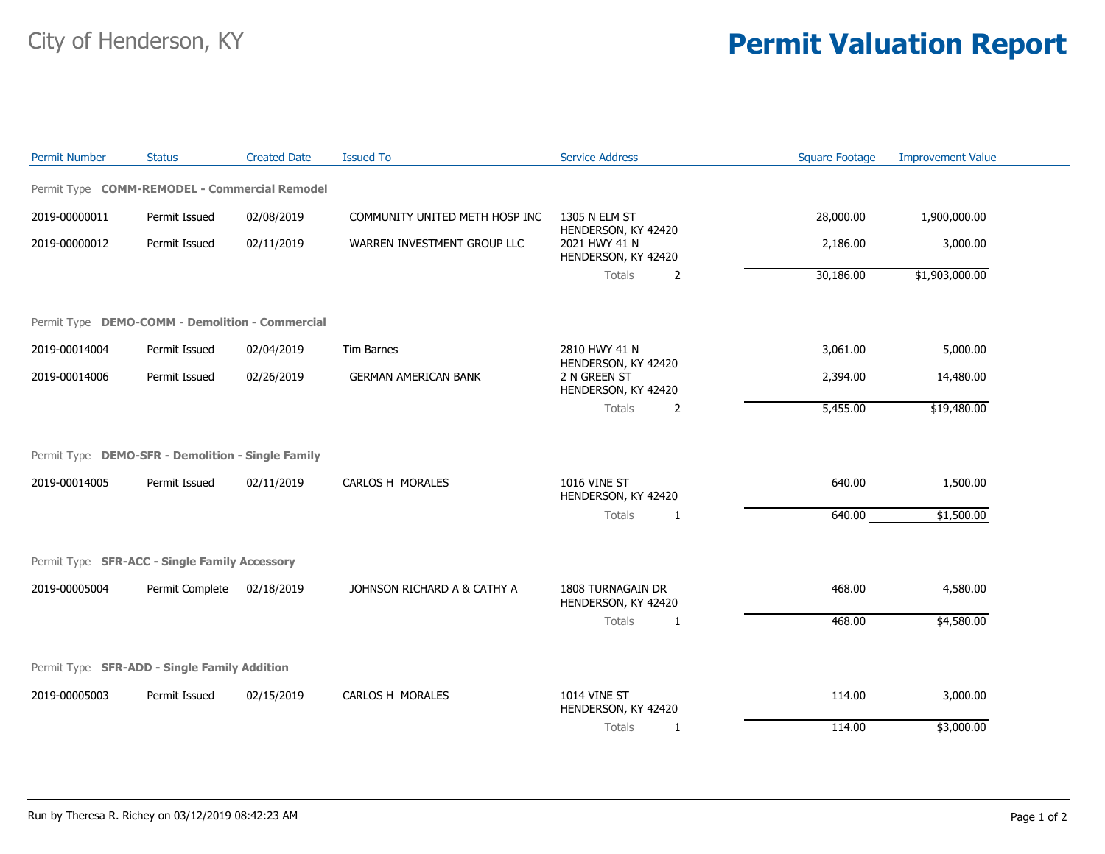## City of Henderson, KY **Permit Valuation Report**

| <b>Permit Number</b> | <b>Status</b>                                     | <b>Created Date</b> | <b>Issued To</b>               | <b>Service Address</b>                                                                                   | <b>Square Footage</b> | <b>Improvement Value</b> |
|----------------------|---------------------------------------------------|---------------------|--------------------------------|----------------------------------------------------------------------------------------------------------|-----------------------|--------------------------|
|                      | Permit Type COMM-REMODEL - Commercial Remodel     |                     |                                |                                                                                                          |                       |                          |
| 2019-00000011        | Permit Issued                                     | 02/08/2019          | COMMUNITY UNITED METH HOSP INC | 1305 N ELM ST<br>HENDERSON, KY 42420<br>2021 HWY 41 N<br>HENDERSON, KY 42420<br>Totals<br>$\overline{2}$ | 28,000.00             | 1,900,000.00             |
| 2019-00000012        | Permit Issued                                     | 02/11/2019          | WARREN INVESTMENT GROUP LLC    |                                                                                                          | 2,186.00              | 3,000.00                 |
|                      |                                                   |                     |                                |                                                                                                          | 30,186.00             | \$1,903,000.00           |
|                      | Permit Type DEMO-COMM - Demolition - Commercial   |                     |                                |                                                                                                          |                       |                          |
| 2019-00014004        | Permit Issued                                     | 02/04/2019          | Tim Barnes                     | 2810 HWY 41 N                                                                                            | 3,061.00              | 5,000.00                 |
| 2019-00014006        | Permit Issued                                     | 02/26/2019          | <b>GERMAN AMERICAN BANK</b>    | HENDERSON, KY 42420<br>2 N GREEN ST<br>HENDERSON, KY 42420                                               | 2,394.00              | 14,480.00                |
|                      |                                                   |                     |                                | Totals<br>2                                                                                              | 5,455.00              | \$19,480.00              |
|                      | Permit Type DEMO-SFR - Demolition - Single Family |                     |                                |                                                                                                          |                       |                          |
| 2019-00014005        | Permit Issued                                     | 02/11/2019          | CARLOS H MORALES               | <b>1016 VINE ST</b><br>HENDERSON, KY 42420<br>Totals<br>1                                                | 640.00                | 1,500.00                 |
|                      |                                                   |                     |                                |                                                                                                          | 640.00                | \$1,500.00               |
|                      | Permit Type SFR-ACC - Single Family Accessory     |                     |                                |                                                                                                          |                       |                          |
| 2019-00005004        | Permit Complete                                   | 02/18/2019          | JOHNSON RICHARD A & CATHY A    | 1808 TURNAGAIN DR<br>HENDERSON, KY 42420                                                                 | 468.00                | 4,580.00                 |
|                      |                                                   |                     |                                | Totals<br>1                                                                                              | 468.00                | \$4,580.00               |
|                      | Permit Type SFR-ADD - Single Family Addition      |                     |                                |                                                                                                          |                       |                          |
| 2019-00005003        | Permit Issued                                     | 02/15/2019          | CARLOS H MORALES               | <b>1014 VINE ST</b><br>HENDERSON, KY 42420                                                               | 114.00                | 3,000.00                 |
|                      |                                                   |                     |                                | Totals<br>-1                                                                                             | 114.00                | \$3,000.00               |